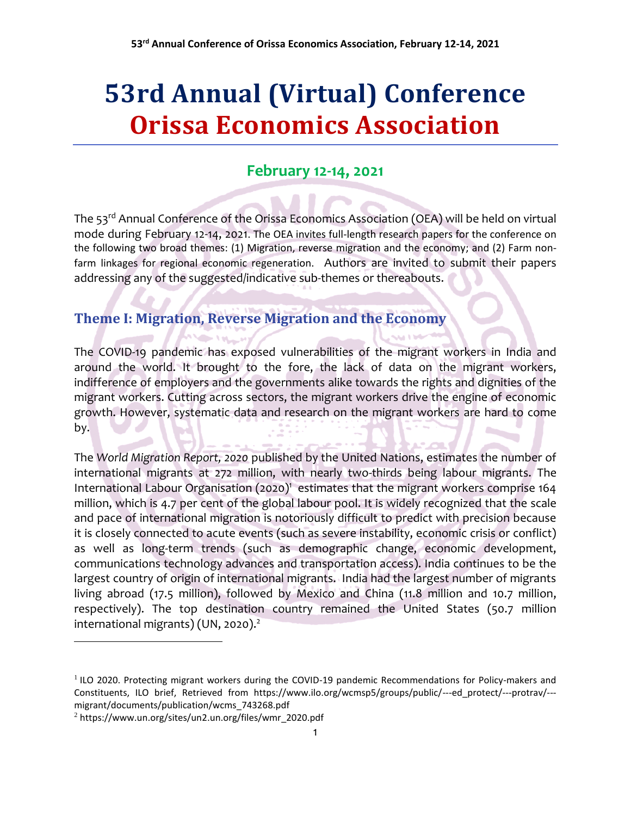# **53rd Annual (Virtual) Conference Orissa Economics Association**

## **February 12-14, 2021**

The 53<sup>rd</sup> Annual Conference of the Orissa Economics Association (OEA) will be held on virtual mode during February 12-14, 2021. The OEA invites full-length research papers for the conference on the following two broad themes: (1) Migration, reverse migration and the economy; and (2) Farm nonfarm linkages for regional economic regeneration. Authors are invited to submit their papers addressing any of the suggested/indicative sub-themes or thereabouts.

# **Theme I: Migration, Reverse Migration and the Economy**

The COVID-19 pandemic has exposed vulnerabilities of the migrant workers in India and around the world. It brought to the fore, the lack of data on the migrant workers, indifference of employers and the governments alike towards the rights and dignities of the migrant workers. Cutting across sectors, the migrant workers drive the engine of economic growth. However, systematic data and research on the migrant workers are hard to come by.

The *World Migration Report, 2020* published by the United Nations, estimates the number of international migrants at 272 million, with nearly two-thirds being labour migrants. The International Labour Organisation (2020)<sup>1</sup> estimates that the migrant workers comprise 164 million, which is 4.7 per cent of the global labour pool. It is widely recognized that the scale and pace of international migration is notoriously difficult to predict with precision because it is closely connected to acute events (such as severe instability, economic crisis or conflict) as well as long-term trends (such as demographic change, economic development, communications technology advances and transportation access). India continues to be the largest country of origin of international migrants. India had the largest number of migrants living abroad (17.5 million), followed by Mexico and China (11.8 million and 10.7 million, respectively). The top destination country remained the United States (50.7 million international migrants) (UN, 2020).<sup>2</sup>

 $\overline{\phantom{a}}$ 

<sup>&</sup>lt;sup>1</sup> ILO 2020. Protecting migrant workers during the COVID-19 pandemic Recommendations for Policy-makers and Constituents, ILO brief, Retrieved from https://www.ilo.org/wcmsp5/groups/public/---ed\_protect/---protrav/-- migrant/documents/publication/wcms\_743268.pdf

<sup>2</sup> https://www.un.org/sites/un2.un.org/files/wmr\_2020.pdf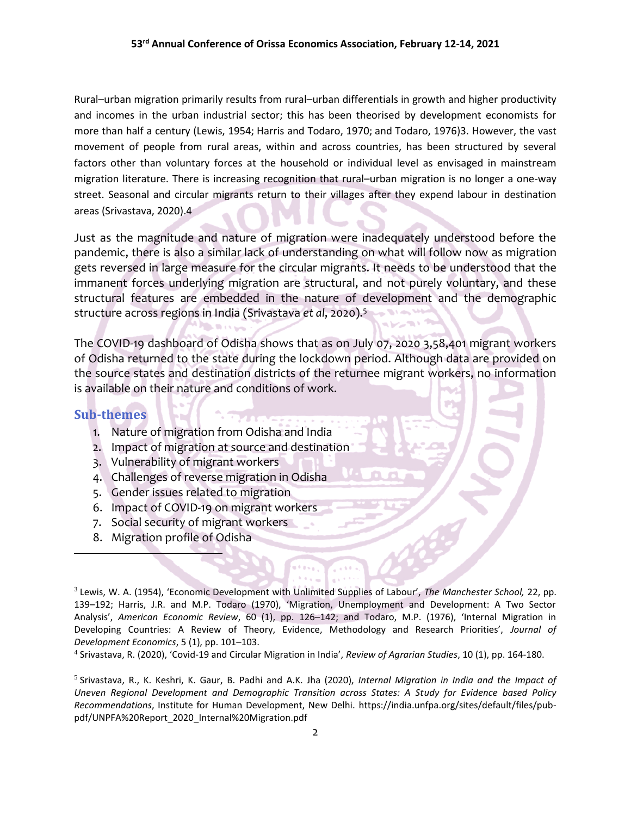Rural–urban migration primarily results from rural–urban differentials in growth and higher productivity and incomes in the urban industrial sector; this has been theorised by development economists for more than half a century [\(Lewis,](http://www.ras.org.in/covid_19_and_circular_migration_in_india#bib18) 1954; [Harris and Todaro,](http://www.ras.org.in/covid_19_and_circular_migration_in_india#bib10) 1970; and [Todaro,](http://www.ras.org.in/covid_19_and_circular_migration_in_india#bib40) 1976)3. However, the vast movement of people from rural areas, within and across countries, has been structured by several factors other than voluntary forces at the household or individual level as envisaged in mainstream migration literature. There is increasing recognition that rural–urban migration is no longer a one-way street. Seasonal and circular migrants return to their villages after they expend labour in destination areas (Srivastava, 2020).4

Just as the magnitude and nature of migration were inadequately understood before the pandemic, there is also a similar lack of understanding on what will follow now as migration gets reversed in large measure for the circular migrants. It needs to be understood that the immanent forces underlying migration are structural, and not purely voluntary, and these structural features are embedded in the nature of development and the demographic structure across regions in India (Srivastava *et al*, 2020).<sup>5</sup>

The COVID-19 dashboard of Odisha shows that as on July 07, 2020 3,58,401 migrant workers of Odisha returned to the state during the lockdown period. Although data are provided on the source states and destination districts of the returnee migrant workers, no information is available on their nature and conditions of work.

#### **Sub-themes**

 $\overline{\phantom{a}}$ 

- 1. Nature of migration from Odisha and India
- 2. Impact of migration at source and destination
- 3. Vulnerability of migrant workers
- 4. Challenges of reverse migration in Odisha
- 5. Gender issues related to migration
- 6. Impact of COVID-19 on migrant workers
- 7. Social security of migrant workers
- 8. Migration profile of Odisha

3 Lewis, W. A. (1954), 'Economic Development with Unlimited Supplies of Labour', *The Manchester School,* 22, pp. 139–192; Harris, J.R. and M.P. Todaro (1970), 'Migration, Unemployment and Development: A Two Sector Analysis', *American Economic Review*, 60 (1), pp. 126–142; and Todaro, M.P. (1976), 'Internal Migration in Developing Countries: A Review of Theory, Evidence, Methodology and Research Priorities', *Journal of Development Economics*, 5 (1), pp. 101–103.

4 Srivastava, R. (2020), 'Covid-19 and Circular Migration in India', *Review of Agrarian Studies*, 10 (1), pp. 164-180.

5 Srivastava, R., K. Keshri, K. Gaur, B. Padhi and A.K. Jha (2020), *Internal Migration in India and the Impact of Uneven Regional Development and Demographic Transition across States: A Study for Evidence based Policy Recommendations*, Institute for Human Development, New Delhi. https://india.unfpa.org/sites/default/files/pubpdf/UNPFA%20Report\_2020\_Internal%20Migration.pdf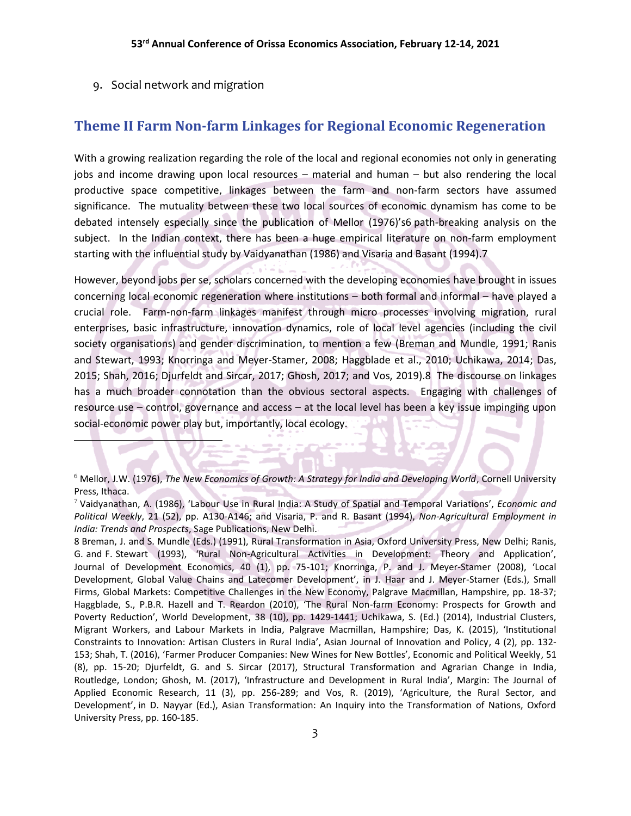9. Social network and migration

 $\overline{\phantom{a}}$ 

#### **Theme II Farm Non-farm Linkages for Regional Economic Regeneration**

With a growing realization regarding the role of the local and regional economies not only in generating jobs and income drawing upon local resources – material and human – but also rendering the local productive space competitive, linkages between the farm and non-farm sectors have assumed significance. The mutuality between these two local sources of economic dynamism has come to be debated intensely especially since the publication of Mellor (1976)'s6 path-breaking analysis on the subject. In the Indian context, there has been a huge empirical literature on non-farm employment starting with the influential study by Vaidyanathan (1986) and Visaria and Basant (1994).7

However, beyond jobs per se, scholars concerned with the developing economies have brought in issues concerning local economic regeneration where institutions – both formal and informal – have played a crucial role. Farm-non-farm linkages manifest through micro processes involving migration, rural enterprises, basic infrastructure, innovation dynamics, role of local level agencies (including the civil society organisations) and gender discrimination, to mention a few (Breman and Mundle, 1991; Ranis and Stewart, 1993; Knorringa and Meyer-Stamer, 2008; Haggblade et al., 2010; Uchikawa, 2014; Das, 2015; Shah, 2016; Djurfeldt and Sircar, 2017; Ghosh, 2017; and Vos, 2019).8 The discourse on linkages has a much broader connotation than the obvious sectoral aspects. Engaging with challenges of resource use – control, governance and access – at the local level has been a key issue impinging upon social-economic power play but, importantly, local ecology.

<sup>6</sup> Mellor, J.W. (1976), *The New Economics of Growth: A Strategy for India and Developing World*, Cornell University Press, Ithaca.

<sup>7</sup> Vaidyanathan, A. (1986), 'Labour Use in Rural India: A Study of Spatial and Temporal Variations', *Economic and Political Weekly*, 21 (52), pp. A130-A146; and Visaria, P. and R. Basant (1994), *Non-Agricultural Employment in India: Trends and Prospects*, Sage Publications, New Delhi.

<sup>8</sup> Breman, J. and S. Mundle (Eds.) (1991), Rural Transformation in Asia, Oxford University Press, New Delhi; Ranis, G. and F. Stewart (1993), 'Rural Non-Agricultural Activities in Development: Theory and Application', Journal of Development Economics, 40 (1), pp. 75-101; Knorringa, P. and J. Meyer-Stamer (2008), 'Local Development, Global Value Chains and Latecomer Development', in J. Haar and J. Meyer-Stamer (Eds.), Small Firms, Global Markets: Competitive Challenges in the New Economy, Palgrave Macmillan, Hampshire, pp. 18-37; Haggblade, S., P.B.R. Hazell and T. Reardon (2010), 'The Rural Non-farm Economy: Prospects for Growth and Poverty Reduction', World Development, 38 (10), pp. 1429-1441; Uchikawa, S. (Ed.) (2014), Industrial Clusters, Migrant Workers, and Labour Markets in India, Palgrave Macmillan, Hampshire; Das, K. (2015), 'Institutional Constraints to Innovation: Artisan Clusters in Rural India', Asian Journal of Innovation and Policy, 4 (2), pp. 132- 153; Shah, T. (2016), 'Farmer Producer Companies: New Wines for New Bottles', Economic and Political Weekly, 51 (8), pp. 15-20; Djurfeldt, G. and S. Sircar (2017), Structural Transformation and Agrarian Change in India, Routledge, London; Ghosh, M. (2017), 'Infrastructure and Development in Rural India', Margin: The Journal of Applied Economic Research, 11 (3), pp. 256-289; and Vos, R. (2019), 'Agriculture, the Rural Sector, and Development', in D. Nayyar (Ed.), Asian Transformation: An Inquiry into the Transformation of Nations, Oxford University Press, pp. 160-185.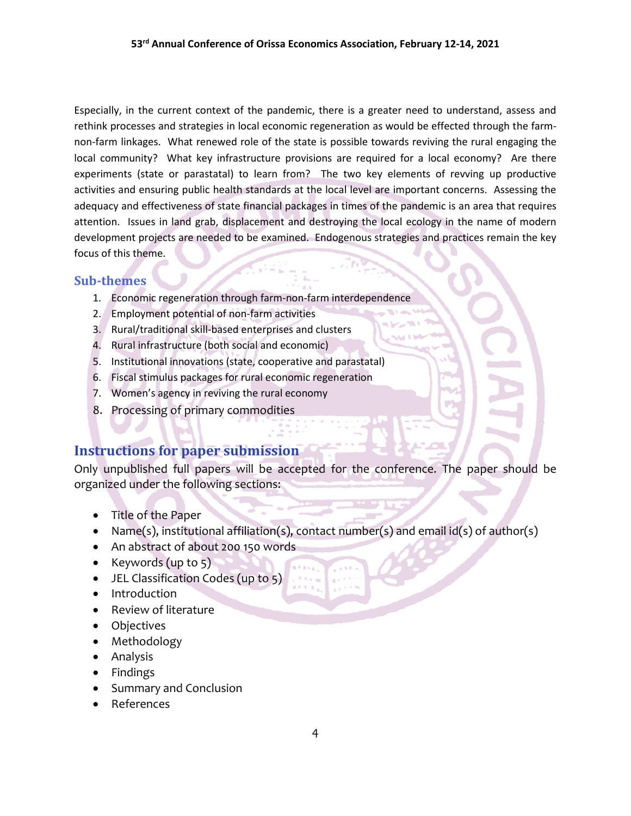Especially, in the current context of the pandemic, there is a greater need to understand, assess and rethink processes and strategies in local economic regeneration as would be effected through the farmnon-farm linkages. What renewed role of the state is possible towards reviving the rural engaging the local community? What key infrastructure provisions are required for a local economy? Are there experiments (state or parastatal) to learn from? The two key elements of revving up productive activities and ensuring public health standards at the local level are important concerns. Assessing the adequacy and effectiveness of state financial packages in times of the pandemic is an area that requires attention. Issues in land grab, displacement and destroying the local ecology in the name of modern development projects are needed to be examined. Endogenous strategies and practices remain the key focus of this theme.

#### **Sub-themes**

- 1. Economic regeneration through farm-non-farm interdependence
- 2. Employment potential of non-farm activities
- 3. Rural/traditional skill-based enterprises and clusters
- 4. Rural infrastructure (both social and economic)
- 5. Institutional innovations (state, cooperative and parastatal)
- 6. Fiscal stimulus packages for rural economic regeneration
- 7. Women's agency in reviving the rural economy
- 8. Processing of primary commodities

### **Instructions for paper submission**

Only unpublished full papers will be accepted for the conference. The paper should be organized under the following sections:

- Title of the Paper
- Name(s), institutional affiliation(s), contact number(s) and email  $id(s)$  of author(s)
- An abstract of about 200 150 words
- Keywords  $(up to 5)$
- JEL Classification Codes (up to 5)
- Introduction
- Review of literature
- Objectives
- Methodology
- Analysis
- Findings
- Summary and Conclusion
- References